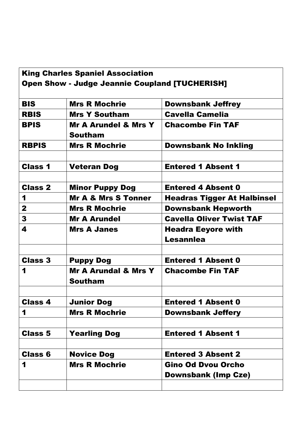| <b>King Charles Spaniel Association</b>               |                                 |                                    |  |  |
|-------------------------------------------------------|---------------------------------|------------------------------------|--|--|
| <b>Open Show - Judge Jeannie Coupland [TUCHERISH]</b> |                                 |                                    |  |  |
|                                                       |                                 |                                    |  |  |
| <b>BIS</b>                                            | <b>Mrs R Mochrie</b>            | <b>Downsbank Jeffrey</b>           |  |  |
| <b>RBIS</b>                                           | <b>Mrs Y Southam</b>            | <b>Cavella Camelia</b>             |  |  |
| <b>BPIS</b>                                           | <b>Mr A Arundel &amp; Mrs Y</b> | <b>Chacombe Fin TAF</b>            |  |  |
|                                                       | <b>Southam</b>                  |                                    |  |  |
| <b>RBPIS</b>                                          | <b>Mrs R Mochrie</b>            | <b>Downsbank No Inkling</b>        |  |  |
|                                                       |                                 |                                    |  |  |
| <b>Class 1</b>                                        | <b>Veteran Dog</b>              | <b>Entered 1 Absent 1</b>          |  |  |
|                                                       |                                 |                                    |  |  |
| <b>Class 2</b>                                        | <b>Minor Puppy Dog</b>          | <b>Entered 4 Absent 0</b>          |  |  |
| 1                                                     | <b>Mr A &amp; Mrs S Tonner</b>  | <b>Headras Tigger At Halbinsel</b> |  |  |
| $\mathbf{2}$                                          | <b>Mrs R Mochrie</b>            | <b>Downsbank Hepworth</b>          |  |  |
| 3                                                     | <b>Mr A Arundel</b>             | <b>Cavella Oliver Twist TAF</b>    |  |  |
| 4                                                     | <b>Mrs A Janes</b>              | <b>Headra Eeyore with</b>          |  |  |
|                                                       |                                 | <b>Lesannlea</b>                   |  |  |
|                                                       |                                 |                                    |  |  |
| <b>Class 3</b>                                        | <b>Puppy Dog</b>                | <b>Entered 1 Absent 0</b>          |  |  |
| 1                                                     | <b>Mr A Arundal &amp; Mrs Y</b> | <b>Chacombe Fin TAF</b>            |  |  |
|                                                       | <b>Southam</b>                  |                                    |  |  |
|                                                       |                                 |                                    |  |  |
| <b>Class 4</b>                                        | <b>Junior Dog</b>               | <b>Entered 1 Absent 0</b>          |  |  |
| 1                                                     | <b>Mrs R Mochrie</b>            | <b>Downsbank Jeffery</b>           |  |  |
|                                                       |                                 |                                    |  |  |
| <b>Class 5</b>                                        | <b>Yearling Dog</b>             | <b>Entered 1 Absent 1</b>          |  |  |
|                                                       |                                 |                                    |  |  |
| <b>Class 6</b>                                        | <b>Novice Dog</b>               | <b>Entered 3 Absent 2</b>          |  |  |
| 1                                                     | <b>Mrs R Mochrie</b>            | <b>Gino Od Dvou Orcho</b>          |  |  |
|                                                       |                                 | <b>Downsbank (Imp Cze)</b>         |  |  |
|                                                       |                                 |                                    |  |  |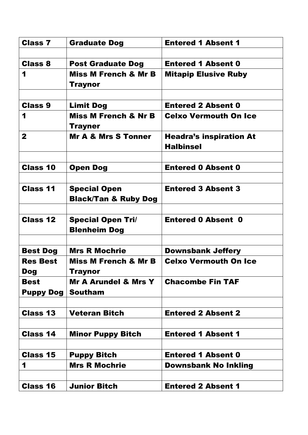| <b>Class 7</b>                | <b>Graduate Dog</b>                             | <b>Entered 1 Absent 1</b>      |
|-------------------------------|-------------------------------------------------|--------------------------------|
|                               |                                                 |                                |
| <b>Class 8</b>                | <b>Post Graduate Dog</b>                        | <b>Entered 1 Absent 0</b>      |
| 1                             | <b>Miss M French &amp; Mr B</b><br>Traynor      | <b>Mitapip Elusive Ruby</b>    |
|                               |                                                 |                                |
| <b>Class 9</b>                | <b>Limit Dog</b>                                | <b>Entered 2 Absent 0</b>      |
| 1                             | <b>Miss M French &amp; Nr B</b><br>Trayner      | <b>Celxo Vermouth On Ice</b>   |
| $\mathbf{2}$                  | <b>Mr A &amp; Mrs S Tonner</b>                  | <b>Headra's inspiration At</b> |
|                               |                                                 | <b>Halbinsel</b>               |
|                               |                                                 |                                |
| <b>Class 10</b>               | <b>Open Dog</b>                                 | <b>Entered 0 Absent 0</b>      |
| <b>Class 11</b>               | <b>Special Open</b>                             | <b>Entered 3 Absent 3</b>      |
|                               | <b>Black/Tan &amp; Ruby Dog</b>                 |                                |
|                               |                                                 |                                |
| <b>Class 12</b>               | <b>Special Open Tri/</b><br><b>Blenheim Dog</b> | <b>Entered 0 Absent 0</b>      |
|                               |                                                 |                                |
| <b>Best Dog</b>               | <b>Mrs R Mochrie</b>                            | <b>Downsbank Jeffery</b>       |
| <b>Res Best</b><br><b>Dog</b> | <b>Miss M French &amp; Mr B</b><br>Traynor      | <b>Celxo Vermouth On Ice</b>   |
| <b>Best</b>                   | <b>Mr A Arundel &amp; Mrs Y</b>                 | <b>Chacombe Fin TAF</b>        |
| <b>Puppy Dog</b>              | <b>Southam</b>                                  |                                |
|                               |                                                 |                                |
| <b>Class 13</b>               | <b>Veteran Bitch</b>                            | <b>Entered 2 Absent 2</b>      |
|                               |                                                 |                                |
| <b>Class 14</b>               | <b>Minor Puppy Bitch</b>                        | <b>Entered 1 Absent 1</b>      |
|                               |                                                 |                                |
| <b>Class 15</b>               | <b>Puppy Bitch</b>                              | <b>Entered 1 Absent 0</b>      |
| 1                             | <b>Mrs R Mochrie</b>                            | <b>Downsbank No Inkling</b>    |
|                               |                                                 |                                |
| <b>Class 16</b>               | <b>Junior Bitch</b>                             | <b>Entered 2 Absent 1</b>      |